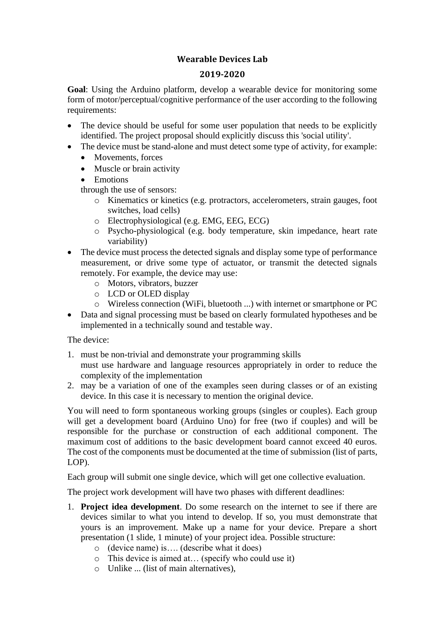## **Wearable Devices Lab**

## **2019-2020**

**Goal**: Using the Arduino platform, develop a wearable device for monitoring some form of motor/perceptual/cognitive performance of the user according to the following requirements:

- The device should be useful for some user population that needs to be explicitly identified. The project proposal should explicitly discuss this 'social utility'.
- The device must be stand-alone and must detect some type of activity, for example:
	- Movements, forces
	- Muscle or brain activity
	- Emotions

through the use of sensors:

- o Kinematics or kinetics (e.g. protractors, accelerometers, strain gauges, foot switches, load cells)
- o Electrophysiological (e.g. EMG, EEG, ECG)
- o Psycho-physiological (e.g. body temperature, skin impedance, heart rate variability)
- The device must process the detected signals and display some type of performance measurement, or drive some type of actuator, or transmit the detected signals remotely. For example, the device may use:
	- o Motors, vibrators, buzzer
	- o LCD or OLED display
	- o Wireless connection (WiFi, bluetooth ...) with internet or smartphone or PC
- Data and signal processing must be based on clearly formulated hypotheses and be implemented in a technically sound and testable way.

The device:

- 1. must be non-trivial and demonstrate your programming skills must use hardware and language resources appropriately in order to reduce the complexity of the implementation
- 2. may be a variation of one of the examples seen during classes or of an existing device. In this case it is necessary to mention the original device.

You will need to form spontaneous working groups (singles or couples). Each group will get a development board (Arduino Uno) for free (two if couples) and will be responsible for the purchase or construction of each additional component. The maximum cost of additions to the basic development board cannot exceed 40 euros. The cost of the components must be documented at the time of submission (list of parts, LOP).

Each group will submit one single device, which will get one collective evaluation.

The project work development will have two phases with different deadlines:

- 1. **Project idea development**. Do some research on the internet to see if there are devices similar to what you intend to develop. If so, you must demonstrate that yours is an improvement. Make up a name for your device. Prepare a short presentation (1 slide, 1 minute) of your project idea. Possible structure:
	- o (device name) is…. (describe what it does)
	- o This device is aimed at… (specify who could use it)
	- o Unlike ... (list of main alternatives),